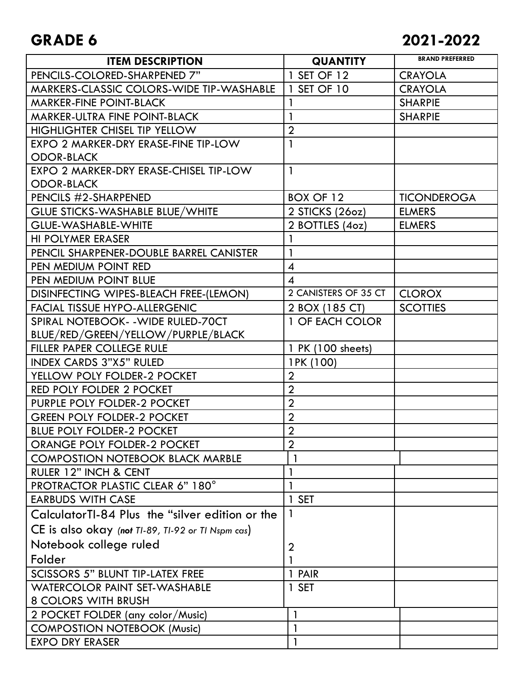## **GRADE 6 2021-2022**

| <b>ITEM DESCRIPTION</b>                           | <b>QUANTITY</b>      | <b>BRAND PREFERRED</b> |
|---------------------------------------------------|----------------------|------------------------|
| PENCILS-COLORED-SHARPENED 7"                      | 1 SET OF 12          | <b>CRAYOLA</b>         |
| MARKERS-CLASSIC COLORS-WIDE TIP-WASHABLE          | 1 SET OF 10          | <b>CRAYOLA</b>         |
| <b>MARKER-FINE POINT-BLACK</b>                    |                      | <b>SHARPIE</b>         |
| MARKER-ULTRA FINE POINT-BLACK                     |                      | <b>SHARPIE</b>         |
| <b>HIGHLIGHTER CHISEL TIP YELLOW</b>              | $\overline{2}$       |                        |
| EXPO 2 MARKER-DRY ERASE-FINE TIP-LOW              | 1                    |                        |
| <b>ODOR-BLACK</b>                                 |                      |                        |
| EXPO 2 MARKER-DRY ERASE-CHISEL TIP-LOW            | $\mathbf{1}$         |                        |
| <b>ODOR-BLACK</b>                                 |                      |                        |
| PENCILS #2-SHARPENED                              | BOX OF 12            | <b>TICONDEROGA</b>     |
| <b>GLUE STICKS-WASHABLE BLUE/WHITE</b>            | 2 STICKS (26oz)      | <b>ELMERS</b>          |
| <b>GLUE-WASHABLE-WHITE</b>                        | 2 BOTTLES (4oz)      | <b>ELMERS</b>          |
| <b>HI POLYMER ERASER</b>                          |                      |                        |
| PENCIL SHARPENER-DOUBLE BARREL CANISTER           |                      |                        |
| PEN MEDIUM POINT RED                              | 4                    |                        |
| PEN MEDIUM POINT BLUE                             | 4                    |                        |
| DISINFECTING WIPES-BLEACH FREE-(LEMON)            | 2 CANISTERS OF 35 CT | <b>CLOROX</b>          |
| <b>FACIAL TISSUE HYPO-ALLERGENIC</b>              | 2 BOX (185 CT)       | <b>SCOTTIES</b>        |
| SPIRAL NOTEBOOK - - WIDE RULED-70CT               | 1 OF EACH COLOR      |                        |
| BLUE/RED/GREEN/YELLOW/PURPLE/BLACK                |                      |                        |
| FILLER PAPER COLLEGE RULE                         | 1 PK (100 sheets)    |                        |
| <b>INDEX CARDS 3"X5" RULED</b>                    | 1PK (100)            |                        |
| YELLOW POLY FOLDER-2 POCKET                       | $\overline{2}$       |                        |
| RED POLY FOLDER 2 POCKET                          | $\overline{2}$       |                        |
| PURPLE POLY FOLDER-2 POCKET                       | $\overline{2}$       |                        |
| <b>GREEN POLY FOLDER-2 POCKET</b>                 | $\overline{2}$       |                        |
| <b>BLUE POLY FOLDER-2 POCKET</b>                  | $\overline{2}$       |                        |
| ORANGE POLY FOLDER-2 POCKET                       | $\overline{2}$       |                        |
| <b>COMPOSTION NOTEBOOK BLACK MARBLE</b>           |                      |                        |
| RULER 12" INCH & CENT                             |                      |                        |
| PROTRACTOR PLASTIC CLEAR 6" 180°                  |                      |                        |
| <b>EARBUDS WITH CASE</b>                          | 1 SET                |                        |
| CalculatorTI-84 Plus the "silver edition or the   | 1                    |                        |
| CE is also okay (not TI-89, TI-92 or TI Nspm cas) |                      |                        |
| Notebook college ruled                            | 2                    |                        |
| Folder                                            |                      |                        |
| <b>SCISSORS 5" BLUNT TIP-LATEX FREE</b>           | 1 PAIR               |                        |
| <b>WATERCOLOR PAINT SET-WASHABLE</b>              | 1 SET                |                        |
| <b>8 COLORS WITH BRUSH</b>                        |                      |                        |
| 2 POCKET FOLDER (any color/Music)                 | $\mathbf{1}$         |                        |
| <b>COMPOSTION NOTEBOOK (Music)</b>                | $\mathbf{1}$         |                        |
| <b>EXPO DRY ERASER</b>                            | 1                    |                        |